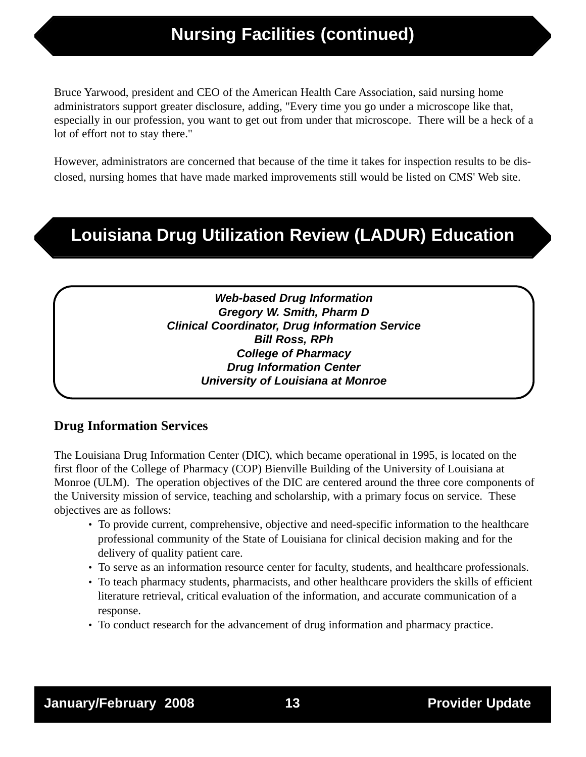# **Nursing Facilities (continued)**

Bruce Yarwood, president and CEO of the American Health Care Association, said nursing home administrators support greater disclosure, adding, "Every time you go under a microscope like that, especially in our profession, you want to get out from under that microscope. There will be a heck of a lot of effort not to stay there."

However, administrators are concerned that because of the time it takes for inspection results to be disclosed, nursing homes that have made marked improvements still would be listed on CMS' Web site.

# **Louisiana Drug Utilization Review (LADUR) Education**

**Web-based Drug Information Gregory W. Smith, Pharm D Clinical Coordinator, Drug Information Service Bill Ross, RPh College of Pharmacy Drug Information Center University of Louisiana at Monroe**

## **Drug Information Services**

The Louisiana Drug Information Center (DIC), which became operational in 1995, is located on the first floor of the College of Pharmacy (COP) Bienville Building of the University of Louisiana at Monroe (ULM). The operation objectives of the DIC are centered around the three core components of the University mission of service, teaching and scholarship, with a primary focus on service. These objectives are as follows:

- To provide current, comprehensive, objective and need-specific information to the healthcare professional community of the State of Louisiana for clinical decision making and for the delivery of quality patient care.
- To serve as an information resource center for faculty, students, and healthcare professionals.
- To teach pharmacy students, pharmacists, and other healthcare providers the skills of efficient literature retrieval, critical evaluation of the information, and accurate communication of a response.
- To conduct research for the advancement of drug information and pharmacy practice.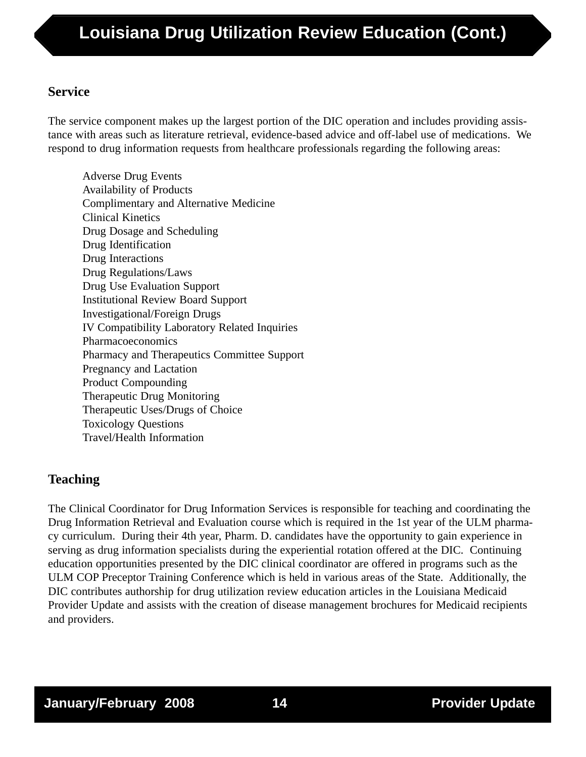# **Service**

The service component makes up the largest portion of the DIC operation and includes providing assistance with areas such as literature retrieval, evidence-based advice and off-label use of medications. We respond to drug information requests from healthcare professionals regarding the following areas:

Adverse Drug Events Availability of Products Complimentary and Alternative Medicine Clinical Kinetics Drug Dosage and Scheduling Drug Identification Drug Interactions Drug Regulations/Laws Drug Use Evaluation Support Institutional Review Board Support Investigational/Foreign Drugs IV Compatibility Laboratory Related Inquiries Pharmacoeconomics Pharmacy and Therapeutics Committee Support Pregnancy and Lactation Product Compounding Therapeutic Drug Monitoring Therapeutic Uses/Drugs of Choice Toxicology Questions Travel/Health Information

# **Teaching**

The Clinical Coordinator for Drug Information Services is responsible for teaching and coordinating the Drug Information Retrieval and Evaluation course which is required in the 1st year of the ULM pharmacy curriculum. During their 4th year, Pharm. D. candidates have the opportunity to gain experience in serving as drug information specialists during the experiential rotation offered at the DIC. Continuing education opportunities presented by the DIC clinical coordinator are offered in programs such as the ULM COP Preceptor Training Conference which is held in various areas of the State. Additionally, the DIC contributes authorship for drug utilization review education articles in the Louisiana Medicaid Provider Update and assists with the creation of disease management brochures for Medicaid recipients and providers.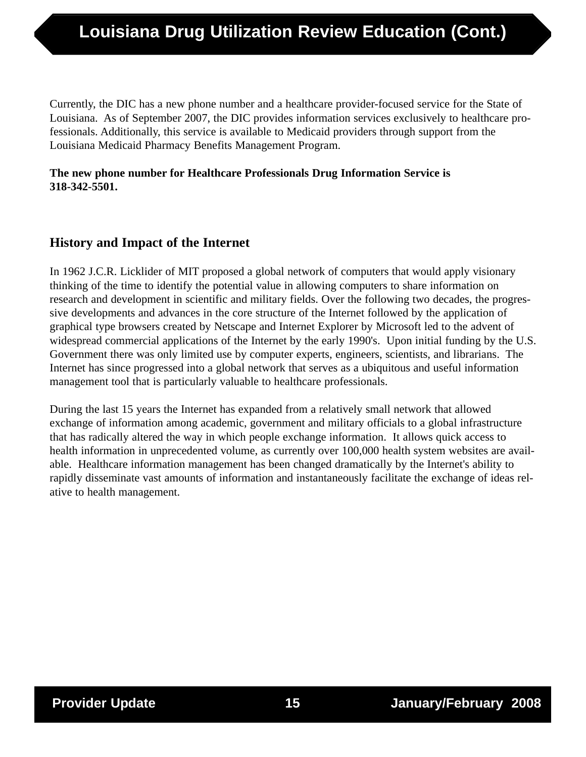Currently, the DIC has a new phone number and a healthcare provider-focused service for the State of Louisiana. As of September 2007, the DIC provides information services exclusively to healthcare professionals. Additionally, this service is available to Medicaid providers through support from the Louisiana Medicaid Pharmacy Benefits Management Program.

## **The new phone number for Healthcare Professionals Drug Information Service is 318-342-5501.**

## **History and Impact of the Internet**

In 1962 J.C.R. Licklider of MIT proposed a global network of computers that would apply visionary thinking of the time to identify the potential value in allowing computers to share information on research and development in scientific and military fields. Over the following two decades, the progressive developments and advances in the core structure of the Internet followed by the application of graphical type browsers created by Netscape and Internet Explorer by Microsoft led to the advent of widespread commercial applications of the Internet by the early 1990's. Upon initial funding by the U.S. Government there was only limited use by computer experts, engineers, scientists, and librarians. The Internet has since progressed into a global network that serves as a ubiquitous and useful information management tool that is particularly valuable to healthcare professionals.

During the last 15 years the Internet has expanded from a relatively small network that allowed exchange of information among academic, government and military officials to a global infrastructure that has radically altered the way in which people exchange information. It allows quick access to health information in unprecedented volume, as currently over 100,000 health system websites are available. Healthcare information management has been changed dramatically by the Internet's ability to rapidly disseminate vast amounts of information and instantaneously facilitate the exchange of ideas relative to health management.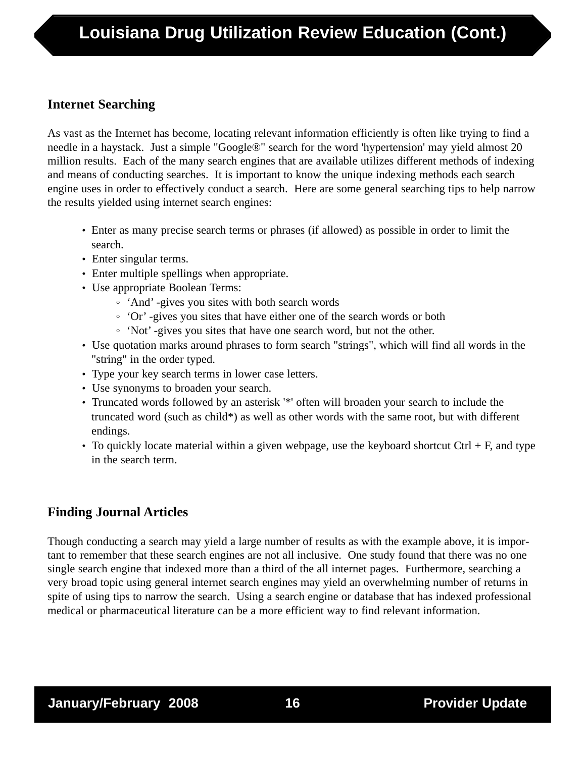# **Internet Searching**

As vast as the Internet has become, locating relevant information efficiently is often like trying to find a needle in a haystack. Just a simple "Google®" search for the word 'hypertension' may yield almost 20 million results. Each of the many search engines that are available utilizes different methods of indexing and means of conducting searches. It is important to know the unique indexing methods each search engine uses in order to effectively conduct a search. Here are some general searching tips to help narrow the results yielded using internet search engines:

- Enter as many precise search terms or phrases (if allowed) as possible in order to limit the search.
- Enter singular terms.
- Enter multiple spellings when appropriate.
- Use appropriate Boolean Terms:
	- 'And' -gives you sites with both search words
	- 'Or' -gives you sites that have either one of the search words or both
	- 'Not' -gives you sites that have one search word, but not the other.
- Use quotation marks around phrases to form search "strings", which will find all words in the "string" in the order typed.
- Type your key search terms in lower case letters.
- Use synonyms to broaden your search.
- Truncated words followed by an asterisk '\*' often will broaden your search to include the truncated word (such as child\*) as well as other words with the same root, but with different endings.
- To quickly locate material within a given webpage, use the keyboard shortcut Ctrl  $+ F$ , and type in the search term.

# **Finding Journal Articles**

Though conducting a search may yield a large number of results as with the example above, it is important to remember that these search engines are not all inclusive. One study found that there was no one single search engine that indexed more than a third of the all internet pages. Furthermore, searching a very broad topic using general internet search engines may yield an overwhelming number of returns in spite of using tips to narrow the search. Using a search engine or database that has indexed professional medical or pharmaceutical literature can be a more efficient way to find relevant information.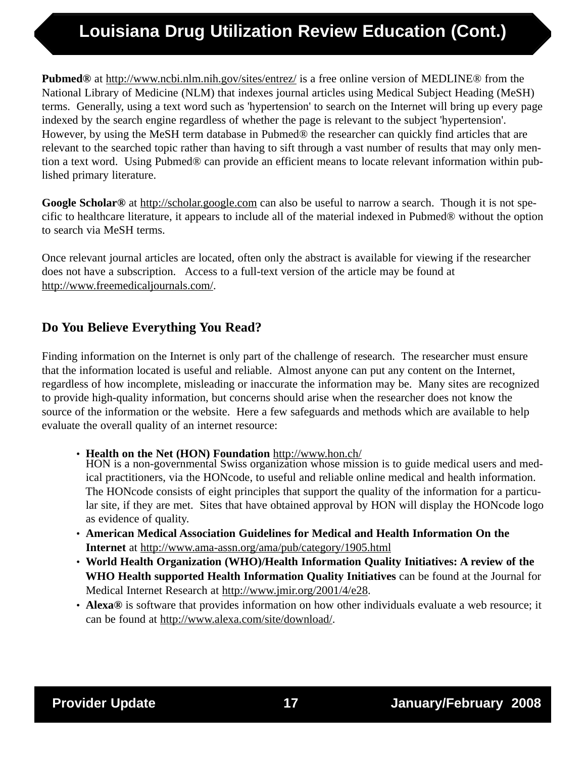# **Louisiana Drug Utilization Review Education (Cont.)**

**Pubmed®** at http://www.ncbi.nlm.nih.gov/sites/entrez/ is a free online version of MEDLINE® from the National Library of Medicine (NLM) that indexes journal articles using Medical Subject Heading (MeSH) terms. Generally, using a text word such as 'hypertension' to search on the Internet will bring up every page indexed by the search engine regardless of whether the page is relevant to the subject 'hypertension'. However, by using the MeSH term database in Pubmed® the researcher can quickly find articles that are relevant to the searched topic rather than having to sift through a vast number of results that may only mention a text word. Using Pubmed® can provide an efficient means to locate relevant information within published primary literature.

**Google Scholar®** at http://scholar.google.com can also be useful to narrow a search. Though it is not specific to healthcare literature, it appears to include all of the material indexed in Pubmed® without the option to search via MeSH terms.

Once relevant journal articles are located, often only the abstract is available for viewing if the researcher does not have a subscription. Access to a full-text version of the article may be found at http://www.freemedicaljournals.com/.

# **Do You Believe Everything You Read?**

Finding information on the Internet is only part of the challenge of research. The researcher must ensure that the information located is useful and reliable. Almost anyone can put any content on the Internet, regardless of how incomplete, misleading or inaccurate the information may be. Many sites are recognized to provide high-quality information, but concerns should arise when the researcher does not know the source of the information or the website. Here a few safeguards and methods which are available to help evaluate the overall quality of an internet resource:

• **Health on the Net (HON) Foundation** http://www.hon.ch/

HON is a non-governmental Swiss organization whose mission is to guide medical users and medical practitioners, via the HONcode, to useful and reliable online medical and health information. The HONcode consists of eight principles that support the quality of the information for a particular site, if they are met. Sites that have obtained approval by HON will display the HONcode logo as evidence of quality.

- **American Medical Association Guidelines for Medical and Health Information On the Internet** at http://www.ama-assn.org/ama/pub/category/1905.html
- **World Health Organization (WHO)/Health Information Quality Initiatives: A review of the WHO Health supported Health Information Quality Initiatives** can be found at the Journal for Medical Internet Research at http://www.jmir.org/2001/4/e28.
- **Alexa®** is software that provides information on how other individuals evaluate a web resource; it can be found at http://www.alexa.com/site/download/.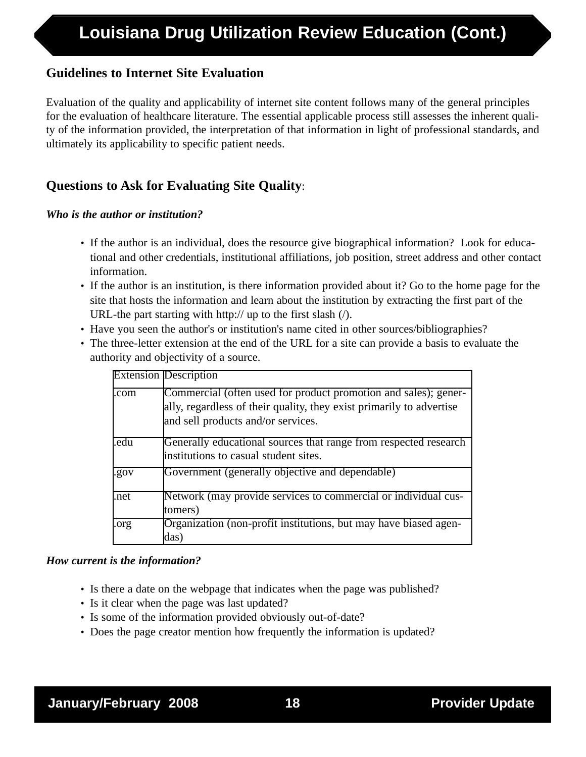## **Guidelines to Internet Site Evaluation**

Evaluation of the quality and applicability of internet site content follows many of the general principles for the evaluation of healthcare literature. The essential applicable process still assesses the inherent quality of the information provided, the interpretation of that information in light of professional standards, and ultimately its applicability to specific patient needs.

# **Questions to Ask for Evaluating Site Quality**:

#### *Who is the author or institution?*

- If the author is an individual, does the resource give biographical information? Look for educational and other credentials, institutional affiliations, job position, street address and other contact information.
- If the author is an institution, is there information provided about it? Go to the home page for the site that hosts the information and learn about the institution by extracting the first part of the URL-the part starting with http:// up to the first slash (/).
- Have you seen the author's or institution's name cited in other sources/bibliographies?
- The three-letter extension at the end of the URL for a site can provide a basis to evaluate the authority and objectivity of a source.

|      | <b>Extension Description</b>                                                                                                                                                  |
|------|-------------------------------------------------------------------------------------------------------------------------------------------------------------------------------|
| .com | Commercial (often used for product promotion and sales); gener-<br>ally, regardless of their quality, they exist primarily to advertise<br>and sell products and/or services. |
| .edu | Generally educational sources that range from respected research<br>linstitutions to casual student sites.                                                                    |
| .gov | Government (generally objective and dependable)                                                                                                                               |
| .net | Network (may provide services to commercial or individual cus-<br>tomers)                                                                                                     |
| .org | Organization (non-profit institutions, but may have biased agen-<br>das)                                                                                                      |

#### *How current is the information?*

- Is there a date on the webpage that indicates when the page was published?
- Is it clear when the page was last updated?
- Is some of the information provided obviously out-of-date?
- Does the page creator mention how frequently the information is updated?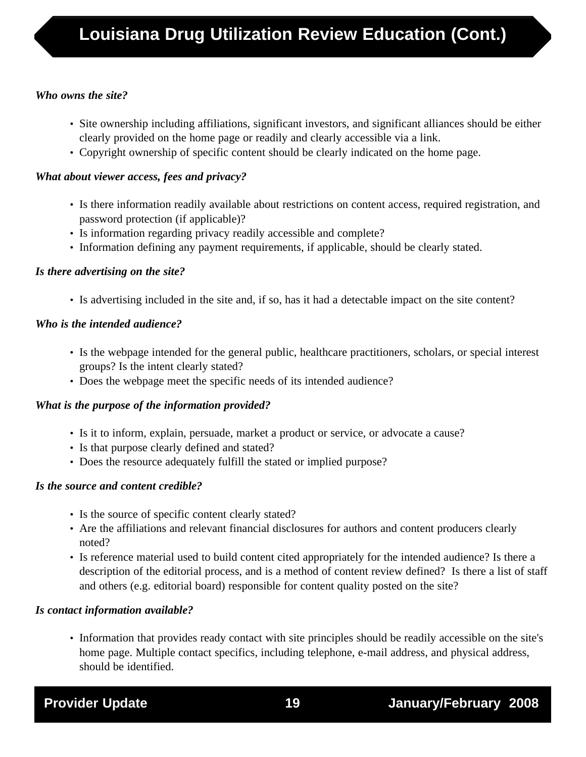### *Who owns the site?*

- Site ownership including affiliations, significant investors, and significant alliances should be either clearly provided on the home page or readily and clearly accessible via a link.
- Copyright ownership of specific content should be clearly indicated on the home page.

#### *What about viewer access, fees and privacy?*

- Is there information readily available about restrictions on content access, required registration, and password protection (if applicable)?
- Is information regarding privacy readily accessible and complete?
- Information defining any payment requirements, if applicable, should be clearly stated.

#### *Is there advertising on the site?*

• Is advertising included in the site and, if so, has it had a detectable impact on the site content?

## *Who is the intended audience?*

- Is the webpage intended for the general public, healthcare practitioners, scholars, or special interest groups? Is the intent clearly stated?
- Does the webpage meet the specific needs of its intended audience?

## *What is the purpose of the information provided?*

- Is it to inform, explain, persuade, market a product or service, or advocate a cause?
- Is that purpose clearly defined and stated?
- Does the resource adequately fulfill the stated or implied purpose?

## *Is the source and content credible?*

- Is the source of specific content clearly stated?
- Are the affiliations and relevant financial disclosures for authors and content producers clearly noted?
- Is reference material used to build content cited appropriately for the intended audience? Is there a description of the editorial process, and is a method of content review defined? Is there a list of staff and others (e.g. editorial board) responsible for content quality posted on the site?

## *Is contact information available?*

• Information that provides ready contact with site principles should be readily accessible on the site's home page. Multiple contact specifics, including telephone, e-mail address, and physical address, should be identified.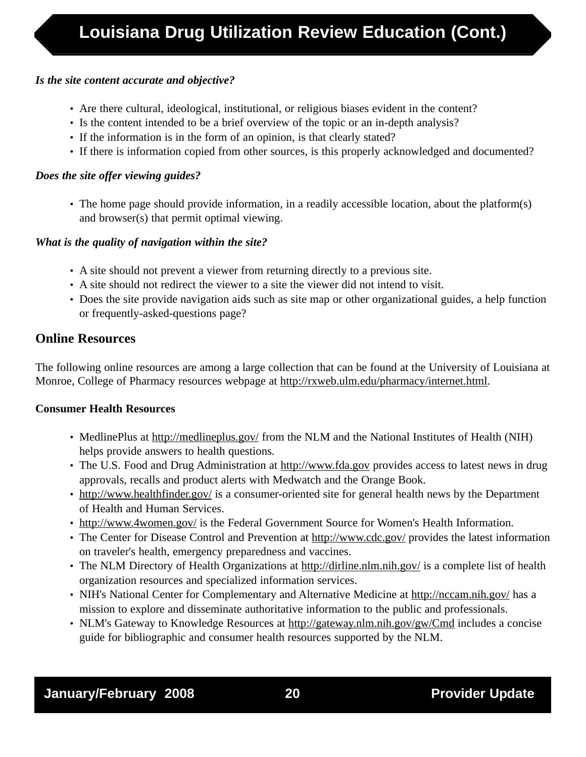### *Is the site content accurate and objective?*

- Are there cultural, ideological, institutional, or religious biases evident in the content?
- Is the content intended to be a brief overview of the topic or an in-depth analysis?
- If the information is in the form of an opinion, is that clearly stated?
- If there is information copied from other sources, is this properly acknowledged and documented?

### *Does the site offer viewing guides?*

• The home page should provide information, in a readily accessible location, about the platform(s) and browser(s) that permit optimal viewing.

## *What is the quality of navigation within the site?*

- A site should not prevent a viewer from returning directly to a previous site.
- A site should not redirect the viewer to a site the viewer did not intend to visit.
- Does the site provide navigation aids such as site map or other organizational guides, a help function or frequently-asked-questions page?

# **Online Resources**

The following online resources are among a large collection that can be found at the University of Louisiana at Monroe, College of Pharmacy resources webpage at http://rxweb.ulm.edu/pharmacy/internet.html.

## **Consumer Health Resources**

- MedlinePlus at http://medlineplus.gov/ from the NLM and the National Institutes of Health (NIH) helps provide answers to health questions.
- The U.S. Food and Drug Administration at http://www.fda.gov provides access to latest news in drug approvals, recalls and product alerts with Medwatch and the Orange Book.
- http://www.healthfinder.gov/ is a consumer-oriented site for general health news by the Department of Health and Human Services.
- http://www.4women.gov/ is the Federal Government Source for Women's Health Information.
- The Center for Disease Control and Prevention at http://www.cdc.gov/ provides the latest information on traveler's health, emergency preparedness and vaccines.
- The NLM Directory of Health Organizations at http://dirline.nlm.nih.gov/ is a complete list of health organization resources and specialized information services.
- NIH's National Center for Complementary and Alternative Medicine at http://nccam.nih.gov/ has a mission to explore and disseminate authoritative information to the public and professionals.
- NLM's Gateway to Knowledge Resources at http://gateway.nlm.nih.gov/gw/Cmd includes a concise guide for bibliographic and consumer health resources supported by the NLM.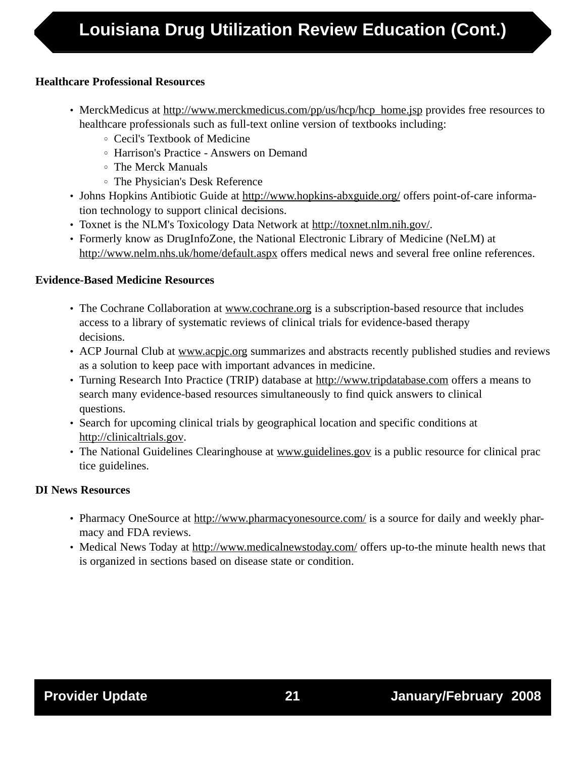## **Healthcare Professional Resources**

- MerckMedicus at http://www.merckmedicus.com/pp/us/hcp/hcp\_home.jsp provides free resources to healthcare professionals such as full-text online version of textbooks including:
	- Cecil's Textbook of Medicine
	- Harrison's Practice Answers on Demand
	- The Merck Manuals
	- The Physician's Desk Reference
- Johns Hopkins Antibiotic Guide at http://www.hopkins-abxguide.org/ offers point-of-care information technology to support clinical decisions.
- Toxnet is the NLM's Toxicology Data Network at http://toxnet.nlm.nih.gov/.
- Formerly know as DrugInfoZone, the National Electronic Library of Medicine (NeLM) at http://www.nelm.nhs.uk/home/default.aspx offers medical news and several free online references.

## **Evidence-Based Medicine Resources**

- The Cochrane Collaboration at www.cochrane.org is a subscription-based resource that includes access to a library of systematic reviews of clinical trials for evidence-based therapy decisions.
- ACP Journal Club at www.acpjc.org summarizes and abstracts recently published studies and reviews as a solution to keep pace with important advances in medicine.
- Turning Research Into Practice (TRIP) database at http://www.tripdatabase.com offers a means to search many evidence-based resources simultaneously to find quick answers to clinical questions.
- Search for upcoming clinical trials by geographical location and specific conditions at http://clinicaltrials.gov.
- The National Guidelines Clearinghouse at www.guidelines.gov is a public resource for clinical prac tice guidelines.

## **DI News Resources**

- Pharmacy OneSource at http://www.pharmacyonesource.com/ is a source for daily and weekly pharmacy and FDA reviews.
- Medical News Today at http://www.medicalnewstoday.com/ offers up-to-the minute health news that is organized in sections based on disease state or condition.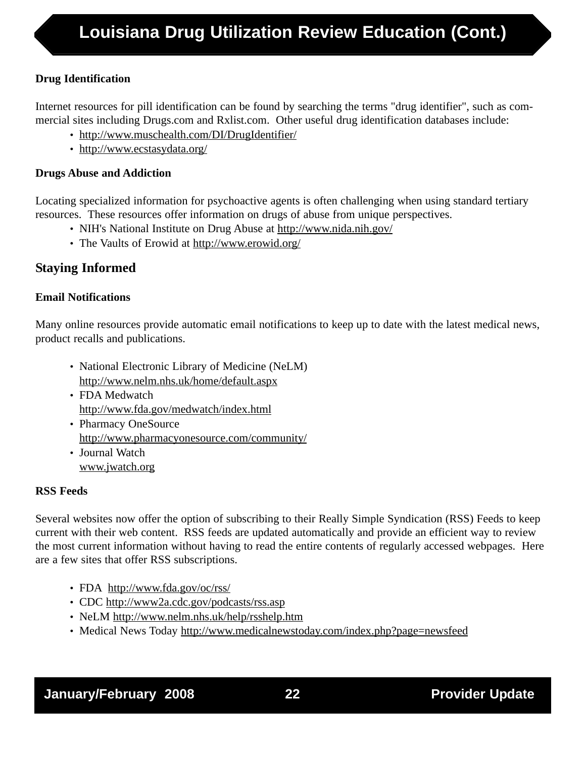## **Drug Identification**

Internet resources for pill identification can be found by searching the terms "drug identifier", such as commercial sites including Drugs.com and Rxlist.com. Other useful drug identification databases include:

- http://www.muschealth.com/DI/DrugIdentifier/
- http://www.ecstasydata.org/

## **Drugs Abuse and Addiction**

Locating specialized information for psychoactive agents is often challenging when using standard tertiary resources. These resources offer information on drugs of abuse from unique perspectives.

- NIH's National Institute on Drug Abuse at http://www.nida.nih.gov/
- The Vaults of Erowid at http://www.erowid.org/

# **Staying Informed**

## **Email Notifications**

Many online resources provide automatic email notifications to keep up to date with the latest medical news, product recalls and publications.

- National Electronic Library of Medicine (NeLM) http://www.nelm.nhs.uk/home/default.aspx
- FDA Medwatch http://www.fda.gov/medwatch/index.html
- Pharmacy OneSource http://www.pharmacyonesource.com/community/ • Journal Watch
- www.jwatch.org

## **RSS Feeds**

Several websites now offer the option of subscribing to their Really Simple Syndication (RSS) Feeds to keep current with their web content. RSS feeds are updated automatically and provide an efficient way to review the most current information without having to read the entire contents of regularly accessed webpages. Here are a few sites that offer RSS subscriptions.

- FDA http://www.fda.gov/oc/rss/
- CDC http://www2a.cdc.gov/podcasts/rss.asp
- NeLM http://www.nelm.nhs.uk/help/rsshelp.htm
- Medical News Today http://www.medicalnewstoday.com/index.php?page=newsfeed